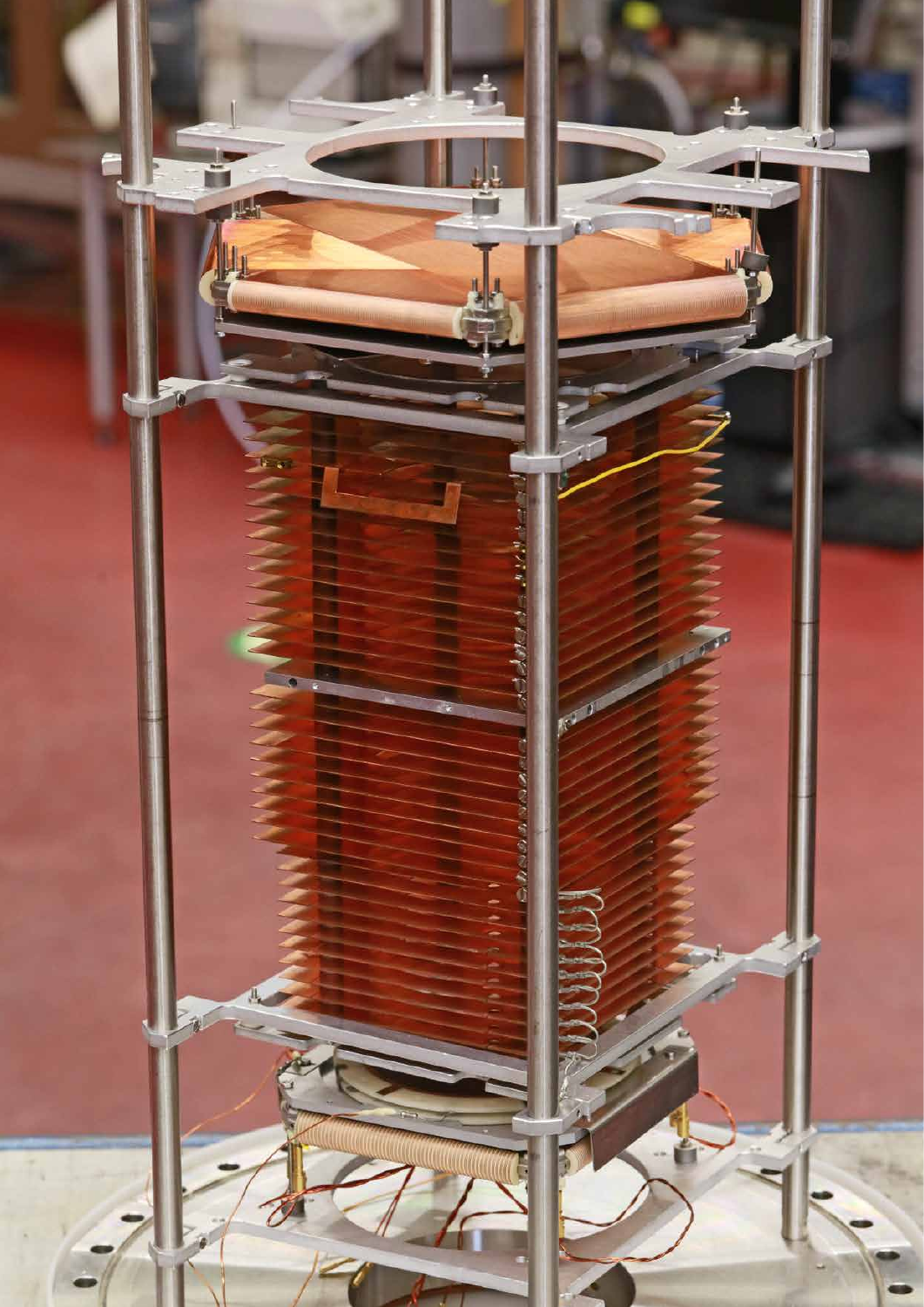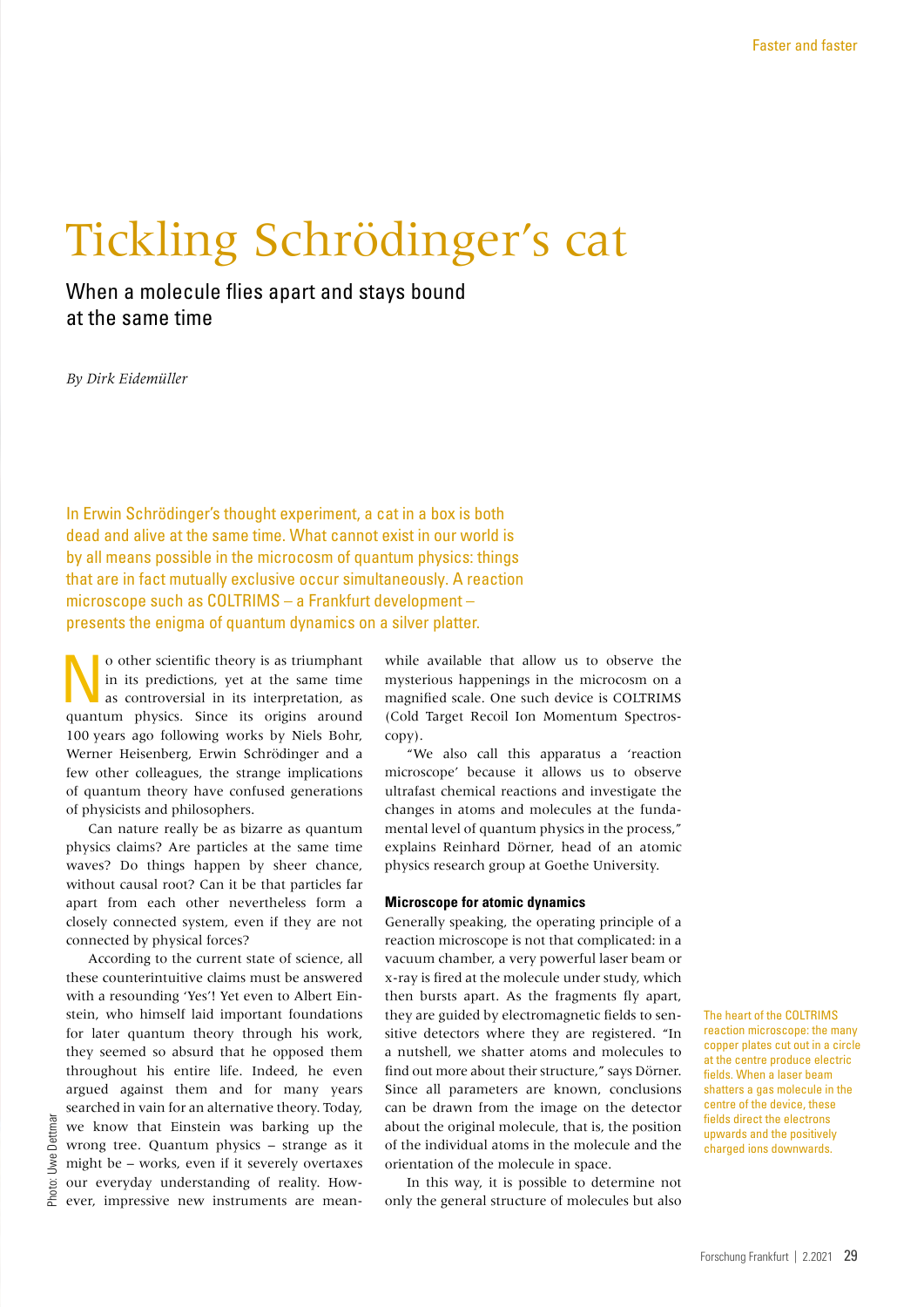# Tickling Schrödinger's cat

When a molecule flies apart and stays bound at the same time

*By Dirk Eidemüller*

In Erwin Schrödinger's thought experiment, a cat in a box is both dead and alive at the same time. What cannot exist in our world is by all means possible in the microcosm of quantum physics: things that are in fact mutually exclusive occur simultaneously. A reaction microscope such as COLTRIMS – a Frankfurt development – presents the enigma of quantum dynamics on a silver platter.

o other scientific theory is as triumphant<br>in its predictions, yet at the same time<br>as controversial in its interpretation, as in its predictions, yet at the same time quantum physics. Since its origins around 100 years ago following works by Niels Bohr, Werner Heisenberg, Erwin Schrödinger and a few other colleagues, the strange implications of quantum theory have confused generations of physicists and philosophers.

Can nature really be as bizarre as quantum physics claims? Are particles at the same time waves? Do things happen by sheer chance, without causal root? Can it be that particles far apart from each other nevertheless form a closely connected system, even if they are not connected by physical forces?

According to the current state of science, all these counterintuitive claims must be answered with a resounding 'Yes'! Yet even to Albert Einstein, who himself laid important foundations for later quantum theory through his work, they seemed so absurd that he opposed them throughout his entire life. Indeed, he even argued against them and for many years searched in vain for an alternative theory. Today, we know that Einstein was barking up the wrong tree. Quantum physics – strange as it might be – works, even if it severely overtaxes our everyday understanding of reality. However, impressive new instruments are mean-

while available that allow us to observe the mysterious happenings in the microcosm on a magnified scale. One such device is COLTRIMS (Cold Target Recoil Ion Momentum Spectroscopy).

"We also call this apparatus a 'reaction microscope' because it allows us to observe ultrafast chemical reactions and investigate the changes in atoms and molecules at the fundamental level of quantum physics in the process," explains Reinhard Dörner, head of an atomic physics research group at Goethe University.

### **Microscope for atomic dynamics**

Generally speaking, the operating principle of a reaction microscope is not that complicated: in a vacuum chamber, a very powerful laser beam or x-ray is fired at the molecule under study, which then bursts apart. As the fragments fly apart, they are guided by electromagnetic fields to sensitive detectors where they are registered. "In a nutshell, we shatter atoms and molecules to find out more about their structure," says Dörner. Since all parameters are known, conclusions can be drawn from the image on the detector about the original molecule, that is, the position of the individual atoms in the molecule and the orientation of the molecule in space.

In this way, it is possible to determine not only the general structure of molecules but also

The heart of the COLTRIMS reaction microscope: the many copper plates cut out in a circle at the centre produce electric fields. When a laser beam shatters a gas molecule in the centre of the device, these fields direct the electrons upwards and the positively charged ions downwards.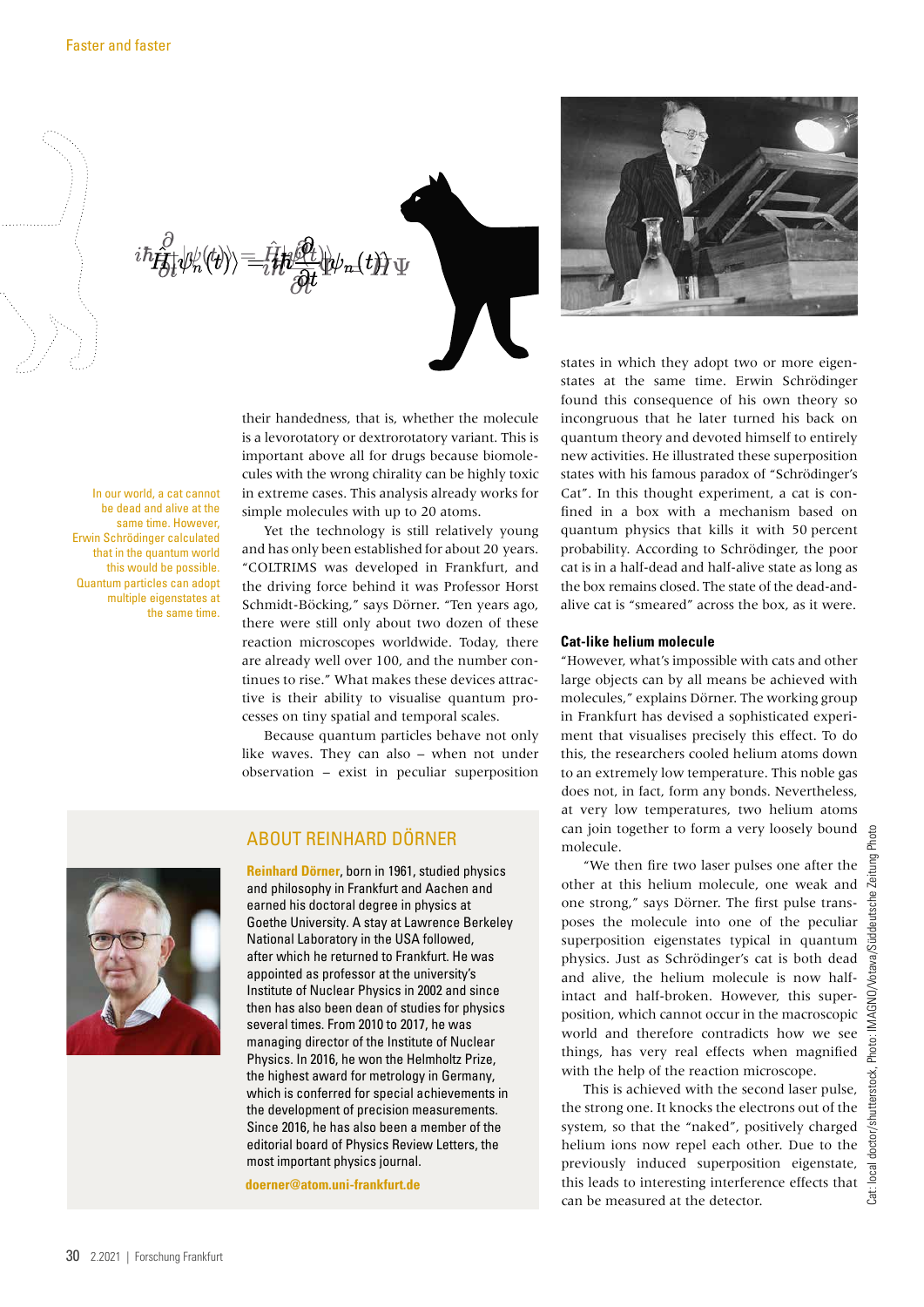



states in which they adopt two or more eigenstates at the same time. Erwin Schrödinger found this consequence of his own theory so incongruous that he later turned his back on quantum theory and devoted himself to entirely new activities. He illustrated these superposition states with his famous paradox of "Schrödinger's Cat". In this thought experiment, a cat is confined in a box with a mechanism based on quantum physics that kills it with 50 percent probability. According to Schrödinger, the poor cat is in a half-dead and half-alive state as long as the box remains closed. The state of the dead-andalive cat is "smeared" across the box, as it were.

### **Cat-like helium molecule**

"However, what's impossible with cats and other large objects can by all means be achieved with molecules," explains Dörner. The working group in Frankfurt has devised a sophisticated experiment that visualises precisely this effect. To do this, the researchers cooled helium atoms down to an extremely low temperature. This noble gas does not, in fact, form any bonds. Nevertheless, at very low temperatures, two helium atoms can join together to form a very loosely bound molecule.

"We then fire two laser pulses one after the other at this helium molecule, one weak and one strong," says Dörner. The first pulse transposes the molecule into one of the peculiar superposition eigenstates typical in quantum physics. Just as Schrödinger's cat is both dead and alive, the helium molecule is now halfone strong," says Dörner. The first pulse trans-<br>poses the molecule into one of the peculiar superposition eigenstates typical in quantum physics. Just as Schrödinger's cat is both dead and alive, the helium molecule is n position, which cannot occur in the macroscopic world and therefore contradicts how we see things, has very real effects when magnified with the help of the reaction microscope.

This is achieved with the second laser pulse, the strong one. It knocks the electrons out of the system, so that the "naked", positively charged helium ions now repel each other. Due to the previously induced superposition eigenstate, this leads to interesting interference effects that can be measured at the detector.

In our world, a cat cannot be dead and alive at the same time. However, Erwin Schrödinger calculated that in the quantum world this would be possible. Quantum particles can adopt multiple eigenstates at the same time.

their handedness, that is, whether the molecule is a levorotatory or dextrorotatory variant. This is important above all for drugs because biomolecules with the wrong chirality can be highly toxic in extreme cases. This analysis already works for simple molecules with up to 20 atoms.

Yet the technology is still relatively young and has only been established for about 20 years. "COLTRIMS was developed in Frankfurt, and the driving force behind it was Professor Horst Schmidt-Böcking," says Dörner. "Ten years ago, there were still only about two dozen of these reaction microscopes worldwide. Today, there are already well over 100, and the number continues to rise." What makes these devices attractive is their ability to visualise quantum processes on tiny spatial and temporal scales.

Because quantum particles behave not only like waves. They can also – when not under observation – exist in peculiar superposition

### ABOUT REINHARD DÖRNER

**Reinhard Dörner**, born in 1961, studied physics and philosophy in Frankfurt and Aachen and earned his doctoral degree in physics at Goethe University. A stay at Lawrence Berkeley National Laboratory in the USA followed, after which he returned to Frankfurt. He was appointed as professor at the university's Institute of Nuclear Physics in 2002 and since then has also been dean of studies for physics several times. From 2010 to 2017, he was managing director of the Institute of Nuclear Physics. In 2016, he won the Helmholtz Prize, the highest award for metrology in Germany, which is conferred for special achievements in the development of precision measurements. Since 2016, he has also been a member of the editorial board of Physics Review Letters, the most important physics journal.

 **[doerner@atom.uni-frankfurt.de](mailto:doerner@atom.uni-frankfurt.de)**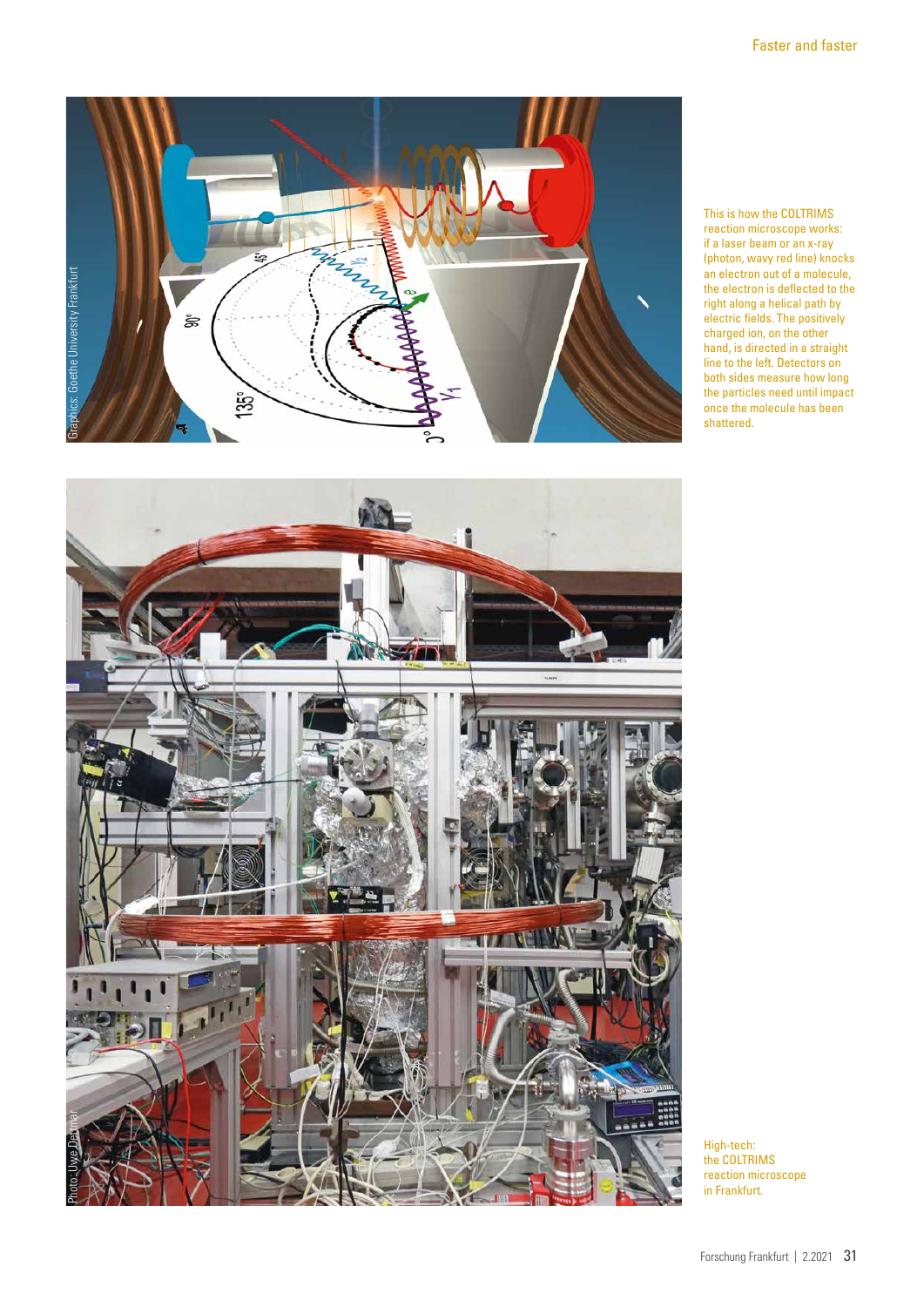



This is how the COLTRIMS reaction microscope works: if a laser beam or an x-ray (photon, wavy red line) knocks an electron out of a molecule, the electron is deflected to the right along a helical path by electric fields. The positively charged ion, on the other hand, is directed in a straight line to the left. Detectors on both sides measure how long the particles need until impact once the molecule has been shattered.

High-tech: the COLTRIMS reaction microscope in Frankfurt.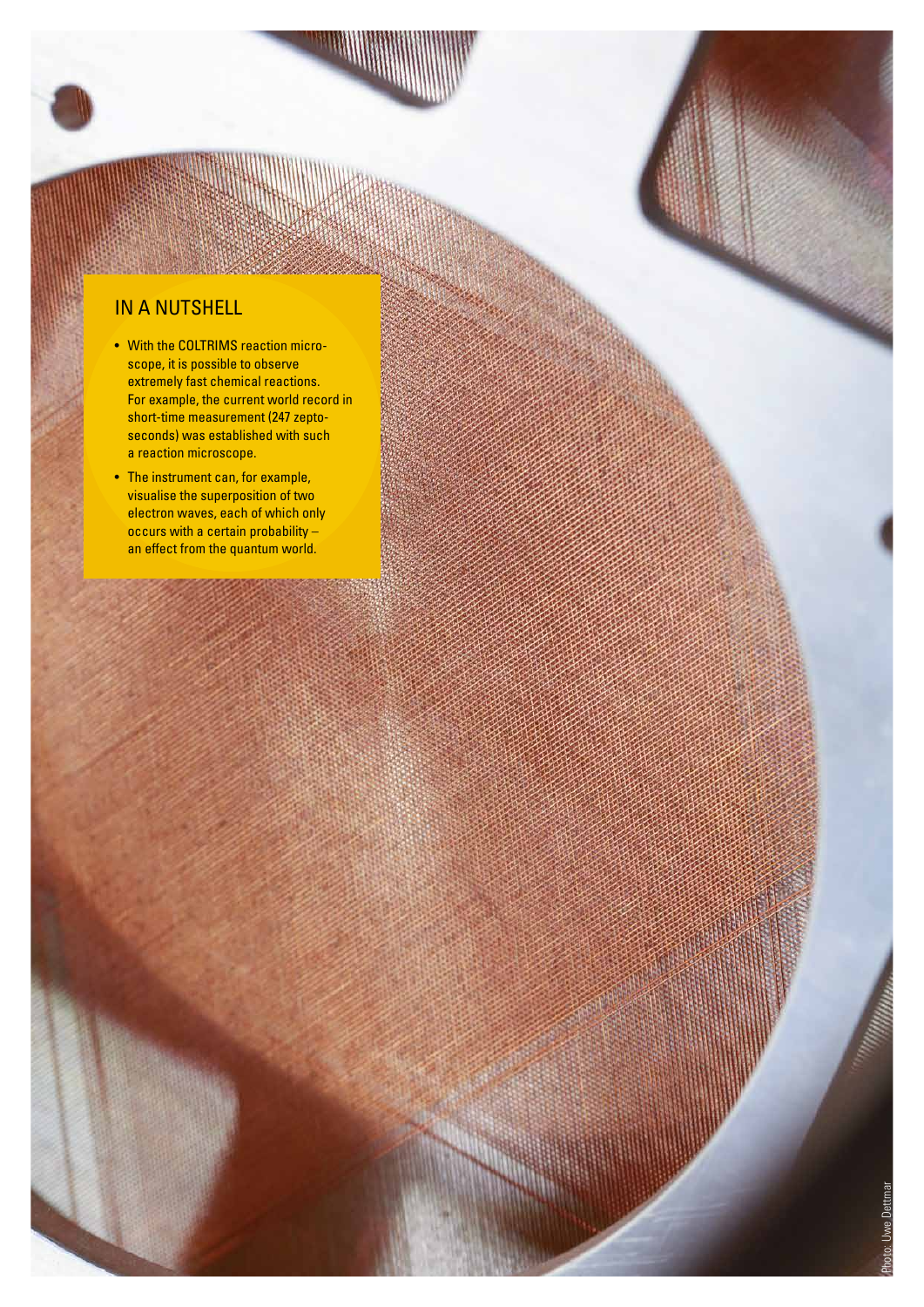## IN A NUTSHELL

- With the COLTRIMS reaction microscope, it is possible to observe extremely fast chemical reactions. For example, the current world record in short-time measurement (247 zeptoseconds) was established with such a reaction microscope.
- The instrument can, for example, visualise the superposition of two electron waves, each of which only occurs with a certain probability – an effect from the quantum world.

Photo: Uwe Dettmar